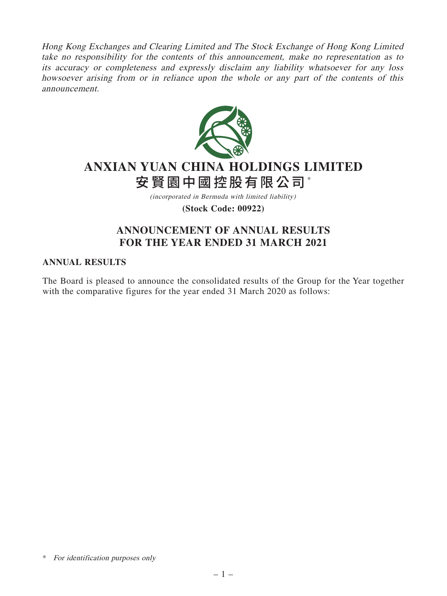Hong Kong Exchanges and Clearing Limited and The Stock Exchange of Hong Kong Limited take no responsibility for the contents of this announcement, make no representation as to its accuracy or completeness and expressly disclaim any liability whatsoever for any loss howsoever arising from or in reliance upon the whole or any part of the contents of this announcement.



# **ANXIAN YUAN CHINA HOLDINGS LIMITED** 安賢園中國控股有限公司\*

(incorporated in Bermuda with limited liability)

**(Stock Code: 00922)**

# **ANNOUNCEMENT OF ANNUAL RESULTS FOR THE YEAR ENDED 31 MARCH 2021**

## **ANNUAL RESULTS**

The Board is pleased to announce the consolidated results of the Group for the Year together with the comparative figures for the year ended 31 March 2020 as follows:

<sup>\*</sup> For identification purposes only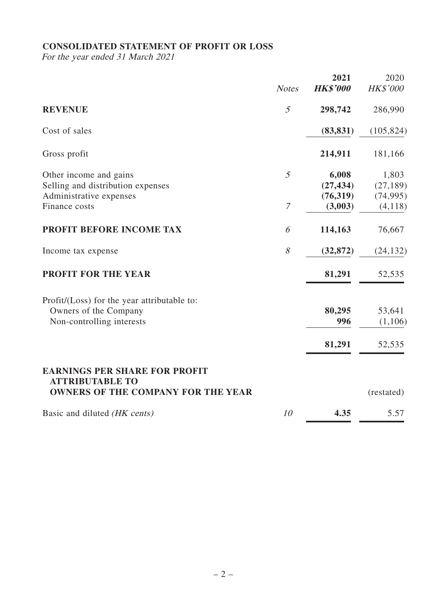# **CONSOLIDATED STATEMENT OF PROFIT OR LOSS**

For the year ended 31 March 2021

|                                                                                                             | <b>Notes</b>          | 2021<br><b>HK\$'000</b>                    | 2020<br><b>HK\$'000</b>                    |
|-------------------------------------------------------------------------------------------------------------|-----------------------|--------------------------------------------|--------------------------------------------|
| <b>REVENUE</b>                                                                                              | 5                     | 298,742                                    | 286,990                                    |
| Cost of sales                                                                                               |                       | (83, 831)                                  | (105, 824)                                 |
| Gross profit                                                                                                |                       | 214,911                                    | 181,166                                    |
| Other income and gains<br>Selling and distribution expenses<br>Administrative expenses<br>Finance costs     | 5<br>$\boldsymbol{7}$ | 6,008<br>(27, 434)<br>(76, 319)<br>(3,003) | 1,803<br>(27, 189)<br>(74, 995)<br>(4,118) |
| PROFIT BEFORE INCOME TAX                                                                                    | 6                     | 114,163                                    | 76,667                                     |
| Income tax expense                                                                                          | 8                     | (32, 872)                                  | (24, 132)                                  |
| <b>PROFIT FOR THE YEAR</b>                                                                                  |                       | 81,291                                     | 52,535                                     |
| Profit/(Loss) for the year attributable to:<br>Owners of the Company<br>Non-controlling interests           |                       | 80,295<br>996                              | 53,641<br>(1,106)                          |
|                                                                                                             |                       | 81,291                                     | 52,535                                     |
| <b>EARNINGS PER SHARE FOR PROFIT</b><br><b>ATTRIBUTABLE TO</b><br><b>OWNERS OF THE COMPANY FOR THE YEAR</b> |                       |                                            | (restated)                                 |
| Basic and diluted (HK cents)                                                                                | 10                    | 4.35                                       | 5.57                                       |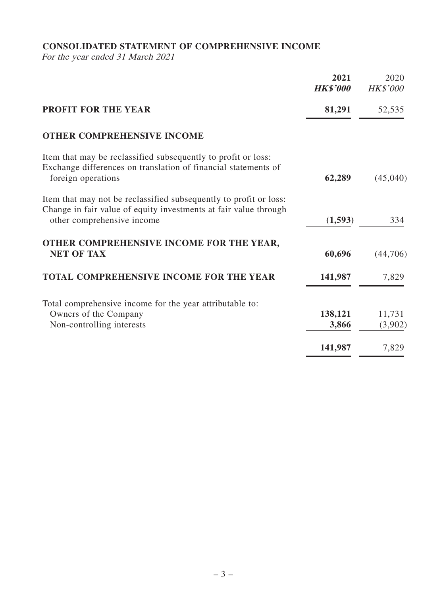# **CONSOLIDATED STATEMENT OF COMPREHENSIVE INCOME**

For the year ended 31 March 2021

|                                                                                                                                                                     | 2021<br><b>HK\$'000</b> | 2020<br><b>HK\$'000</b> |
|---------------------------------------------------------------------------------------------------------------------------------------------------------------------|-------------------------|-------------------------|
| <b>PROFIT FOR THE YEAR</b>                                                                                                                                          | 81,291                  | 52,535                  |
| <b>OTHER COMPREHENSIVE INCOME</b>                                                                                                                                   |                         |                         |
| Item that may be reclassified subsequently to profit or loss:<br>Exchange differences on translation of financial statements of<br>foreign operations               | 62,289                  | (45,040)                |
| Item that may not be reclassified subsequently to profit or loss:<br>Change in fair value of equity investments at fair value through<br>other comprehensive income | (1, 593)                | 334                     |
| OTHER COMPREHENSIVE INCOME FOR THE YEAR,<br><b>NET OF TAX</b>                                                                                                       | 60,696                  | (44,706)                |
| <b>TOTAL COMPREHENSIVE INCOME FOR THE YEAR</b>                                                                                                                      | 141,987                 | 7,829                   |
| Total comprehensive income for the year attributable to:<br>Owners of the Company<br>Non-controlling interests                                                      | 138,121<br>3,866        | 11,731<br>(3,902)       |
|                                                                                                                                                                     | 141,987                 | 7,829                   |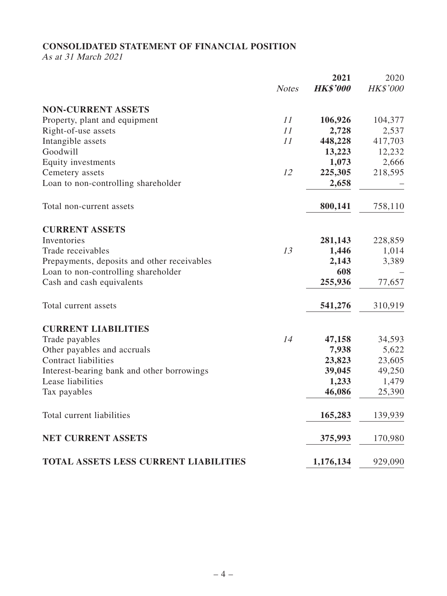# **CONSOLIDATED STATEMENT OF FINANCIAL POSITION**

As at 31 March 2021

|                                              |              | 2021            | 2020            |
|----------------------------------------------|--------------|-----------------|-----------------|
|                                              | <b>Notes</b> | <b>HK\$'000</b> | <b>HK\$'000</b> |
| <b>NON-CURRENT ASSETS</b>                    |              |                 |                 |
| Property, plant and equipment                | 11           | 106,926         | 104,377         |
| Right-of-use assets                          | 11           | 2,728           | 2,537           |
| Intangible assets                            | 11           | 448,228         | 417,703         |
| Goodwill                                     |              | 13,223          | 12,232          |
| Equity investments                           |              | 1,073           | 2,666           |
| Cemetery assets                              | 12           | 225,305         | 218,595         |
| Loan to non-controlling shareholder          |              | 2,658           |                 |
| Total non-current assets                     |              | 800,141         | 758,110         |
| <b>CURRENT ASSETS</b>                        |              |                 |                 |
| Inventories                                  |              | 281,143         | 228,859         |
| Trade receivables                            | 13           | 1,446           | 1,014           |
| Prepayments, deposits and other receivables  |              | 2,143           | 3,389           |
| Loan to non-controlling shareholder          |              | 608             |                 |
| Cash and cash equivalents                    |              | 255,936         | 77,657          |
| Total current assets                         |              | 541,276         | 310,919         |
| <b>CURRENT LIABILITIES</b>                   |              |                 |                 |
| Trade payables                               | 14           | 47,158          | 34,593          |
| Other payables and accruals                  |              | 7,938           | 5,622           |
| <b>Contract liabilities</b>                  |              | 23,823          | 23,605          |
| Interest-bearing bank and other borrowings   |              | 39,045          | 49,250          |
| Lease liabilities                            |              | 1,233           | 1,479           |
| Tax payables                                 |              | 46,086          | 25,390          |
| Total current liabilities                    |              | 165,283         | 139,939         |
| <b>NET CURRENT ASSETS</b>                    |              | 375,993         | 170,980         |
| <b>TOTAL ASSETS LESS CURRENT LIABILITIES</b> |              | 1,176,134       | 929,090         |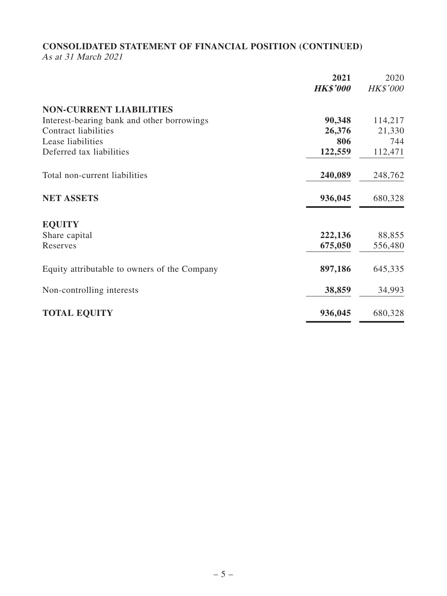# **CONSOLIDATED STATEMENT OF FINANCIAL POSITION (CONTINUED)**

As at 31 March 2021

| 2021<br><b>HK\$'000</b>                                                                | 2020<br><b>HK\$'000</b> |
|----------------------------------------------------------------------------------------|-------------------------|
|                                                                                        |                         |
| <b>NON-CURRENT LIABILITIES</b><br>90,348<br>Interest-bearing bank and other borrowings | 114,217                 |
| <b>Contract liabilities</b><br>26,376                                                  | 21,330                  |
| Lease liabilities<br>806                                                               | 744                     |
| Deferred tax liabilities<br>122,559                                                    | 112,471                 |
| 240,089<br>Total non-current liabilities                                               | 248,762                 |
| 936,045<br><b>NET ASSETS</b>                                                           | 680,328                 |
| <b>EQUITY</b>                                                                          |                         |
| 222,136<br>Share capital                                                               | 88,855                  |
| 675,050<br>Reserves                                                                    | 556,480                 |
| 897,186<br>Equity attributable to owners of the Company                                | 645,335                 |
| 38,859<br>Non-controlling interests                                                    | 34,993                  |
| <b>TOTAL EQUITY</b><br>936,045                                                         | 680,328                 |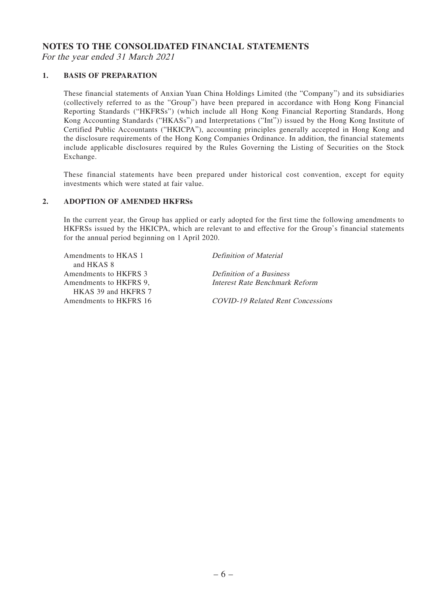### **NOTES TO THE CONSOLIDATED FINANCIAL STATEMENTS**

For the year ended 31 March 2021

### **1. BASIS OF PREPARATION**

These financial statements of Anxian Yuan China Holdings Limited (the "Company") and its subsidiaries (collectively referred to as the "Group") have been prepared in accordance with Hong Kong Financial Reporting Standards ("HKFRSs") (which include all Hong Kong Financial Reporting Standards, Hong Kong Accounting Standards ("HKASs") and Interpretations ("Int")) issued by the Hong Kong Institute of Certified Public Accountants ("HKICPA"), accounting principles generally accepted in Hong Kong and the disclosure requirements of the Hong Kong Companies Ordinance. In addition, the financial statements include applicable disclosures required by the Rules Governing the Listing of Securities on the Stock Exchange.

These financial statements have been prepared under historical cost convention, except for equity investments which were stated at fair value.

#### **2. ADOPTION OF AMENDED HKFRSs**

In the current year, the Group has applied or early adopted for the first time the following amendments to HKFRSs issued by the HKICPA, which are relevant to and effective for the Group's financial statements for the annual period beginning on 1 April 2020.

Amendments to HKAS 1 and HKAS 8 Amendments to HKFRS 3 Definition of a Business Amendments to HKFRS 9, HKAS 39 and HKFRS 7 Amendments to HKFRS 16 COVID-19 Related Rent Concessions

Definition of Material

Interest Rate Benchmark Reform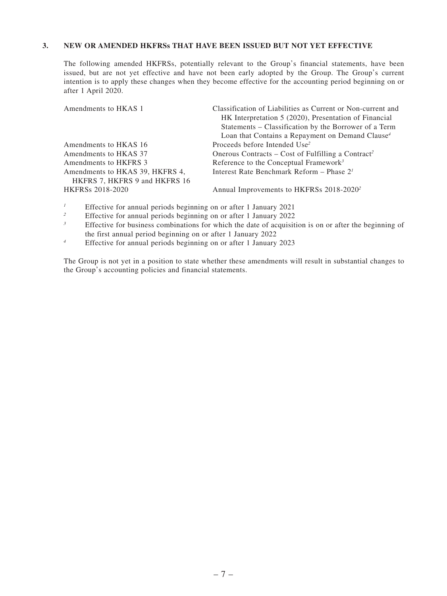#### **3. NEW OR AMENDED HKFRSs THAT HAVE BEEN ISSUED BUT NOT YET EFFECTIVE**

The following amended HKFRSs, potentially relevant to the Group's financial statements, have been issued, but are not yet effective and have not been early adopted by the Group. The Group's current intention is to apply these changes when they become effective for the accounting period beginning on or after 1 April 2020.

| Amendments to HKAS 1                                             | Classification of Liabilities as Current or Non-current and    |
|------------------------------------------------------------------|----------------------------------------------------------------|
|                                                                  | HK Interpretation 5 (2020), Presentation of Financial          |
|                                                                  | Statements – Classification by the Borrower of a Term          |
|                                                                  | Loan that Contains a Repayment on Demand Clause <sup>4</sup>   |
| Amendments to HKAS 16                                            | Proceeds before Intended Use <sup>2</sup>                      |
| Amendments to HKAS 37                                            | Onerous Contracts – Cost of Fulfilling a Contract <sup>2</sup> |
| Amendments to HKFRS 3                                            | Reference to the Conceptual Framework <sup>3</sup>             |
| Amendments to HKAS 39, HKFRS 4,<br>HKFRS 7, HKFRS 9 and HKFRS 16 | Interest Rate Benchmark Reform – Phase $21$                    |
| <b>HKFRSs 2018-2020</b>                                          | Annual Improvements to HKFRSs 2018-2020 <sup>2</sup>           |

- <sup>1</sup> Effective for annual periods beginning on or after 1 January 2021<br>Effective for annual periods beginning on or after 1 January 2022
- <sup>2</sup> Effective for annual periods beginning on or after 1 January 2022<br> **Effective for business combinations for which the date of acquisitions**
- Effective for business combinations for which the date of acquisition is on or after the beginning of the first annual period beginning on or after 1 January 2022
- <sup>4</sup> Effective for annual periods beginning on or after 1 January 2023

The Group is not yet in a position to state whether these amendments will result in substantial changes to the Group's accounting policies and financial statements.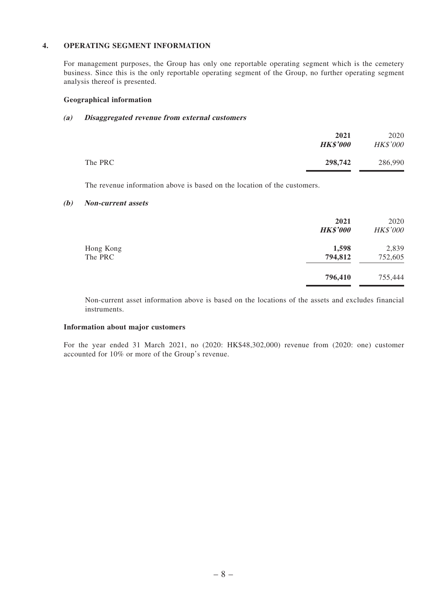#### **4. OPERATING SEGMENT INFORMATION**

For management purposes, the Group has only one reportable operating segment which is the cemetery business. Since this is the only reportable operating segment of the Group, no further operating segment analysis thereof is presented.

#### **Geographical information**

#### **(a) Disaggregated revenue from external customers**

|         | 2021<br><b>HK\$'000</b> | 2020<br><b>HK\$'000</b> |
|---------|-------------------------|-------------------------|
| The PRC | 298,742                 | 286,990                 |

The revenue information above is based on the location of the customers.

#### **(b) Non-current assets**

|                      | 2021<br><b>HK\$'000</b> | 2020<br><b>HK\$'000</b> |
|----------------------|-------------------------|-------------------------|
| Hong Kong<br>The PRC | 1,598<br>794,812        | 2,839<br>752,605        |
|                      | 796,410                 | 755,444                 |

Non-current asset information above is based on the locations of the assets and excludes financial instruments.

#### **Information about major customers**

For the year ended 31 March 2021, no (2020: HK\$48,302,000) revenue from (2020: one) customer accounted for 10% or more of the Group's revenue.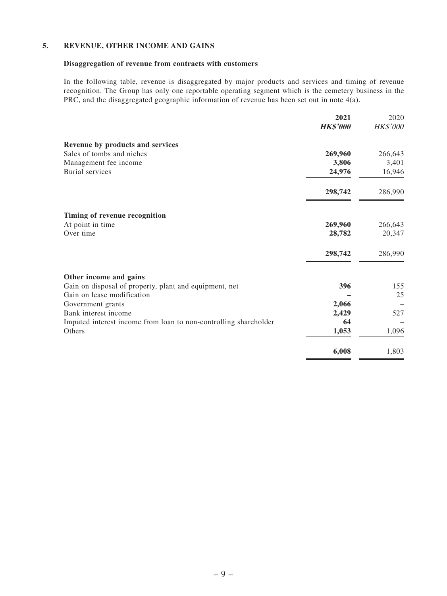#### **5. REVENUE, OTHER INCOME AND GAINS**

#### **Disaggregation of revenue from contracts with customers**

In the following table, revenue is disaggregated by major products and services and timing of revenue recognition. The Group has only one reportable operating segment which is the cemetery business in the PRC, and the disaggregated geographic information of revenue has been set out in note 4(a).

|                                                                  | 2021            | 2020            |
|------------------------------------------------------------------|-----------------|-----------------|
|                                                                  | <b>HK\$'000</b> | <b>HK\$'000</b> |
| Revenue by products and services                                 |                 |                 |
| Sales of tombs and niches                                        | 269,960         | 266,643         |
| Management fee income                                            | 3,806           | 3,401           |
| <b>Burial</b> services                                           | 24,976          | 16,946          |
|                                                                  | 298,742         | 286,990         |
| Timing of revenue recognition                                    |                 |                 |
| At point in time                                                 | 269,960         | 266,643         |
| Over time                                                        | 28,782          | 20,347          |
|                                                                  | 298,742         | 286,990         |
| Other income and gains                                           |                 |                 |
| Gain on disposal of property, plant and equipment, net           | 396             | 155             |
| Gain on lease modification                                       |                 | 25              |
| Government grants                                                | 2,066           |                 |
| Bank interest income                                             | 2,429           | 527             |
| Imputed interest income from loan to non-controlling shareholder | 64              |                 |
| Others                                                           | 1,053           | 1,096           |
|                                                                  | 6,008           | 1,803           |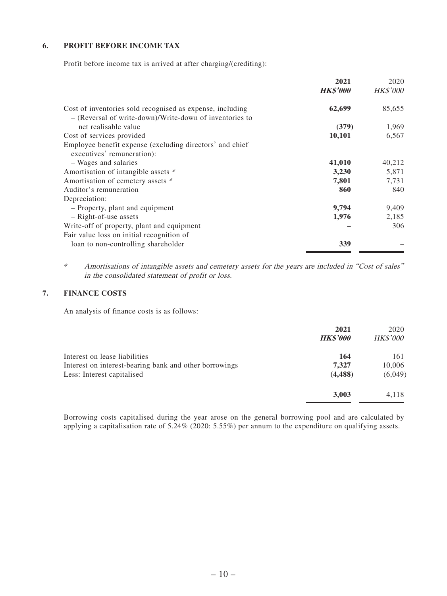### **6. PROFIT BEFORE INCOME TAX**

Profit before income tax is arrived at after charging/(crediting):

|                                                                                                                      | 2021            | 2020            |
|----------------------------------------------------------------------------------------------------------------------|-----------------|-----------------|
|                                                                                                                      | <b>HK\$'000</b> | <b>HK\$'000</b> |
| Cost of inventories sold recognised as expense, including<br>- (Reversal of write-down)/Write-down of inventories to | 62,699          | 85,655          |
| net realisable value                                                                                                 | (379)           | 1,969           |
| Cost of services provided                                                                                            | 10,101          | 6,567           |
| Employee benefit expense (excluding directors' and chief<br>executives' remuneration):                               |                 |                 |
| - Wages and salaries                                                                                                 | 41,010          | 40,212          |
| Amortisation of intangible assets *                                                                                  | 3,230           | 5,871           |
| Amortisation of cemetery assets *                                                                                    | 7,801           | 7,731           |
| Auditor's remuneration                                                                                               | 860             | 840             |
| Depreciation:                                                                                                        |                 |                 |
| - Property, plant and equipment                                                                                      | 9,794           | 9,409           |
| - Right-of-use assets                                                                                                | 1,976           | 2,185           |
| Write-off of property, plant and equipment                                                                           |                 | 306             |
| Fair value loss on initial recognition of                                                                            |                 |                 |
| loan to non-controlling shareholder                                                                                  | 339             |                 |

\* Amortisations of intangible assets and cemetery assets for the years are included in "Cost of sales" in the consolidated statement of profit or loss.

### **7. FINANCE COSTS**

An analysis of finance costs is as follows:

|                                                        | 2021<br><b>HK\$'000</b> | 2020<br><b>HK\$'000</b> |
|--------------------------------------------------------|-------------------------|-------------------------|
| Interest on lease liabilities                          | 164                     | 161                     |
| Interest on interest-bearing bank and other borrowings | 7,327                   | 10,006                  |
| Less: Interest capitalised                             | (4, 488)                | (6,049)                 |
|                                                        | 3,003                   | 4,118                   |

Borrowing costs capitalised during the year arose on the general borrowing pool and are calculated by applying a capitalisation rate of 5.24% (2020: 5.55%) per annum to the expenditure on qualifying assets.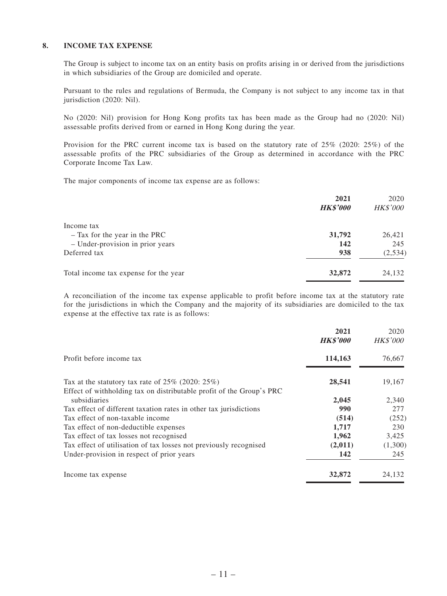#### **8. INCOME TAX EXPENSE**

The Group is subject to income tax on an entity basis on profits arising in or derived from the jurisdictions in which subsidiaries of the Group are domiciled and operate.

Pursuant to the rules and regulations of Bermuda, the Company is not subject to any income tax in that jurisdiction (2020: Nil).

No (2020: Nil) provision for Hong Kong profits tax has been made as the Group had no (2020: Nil) assessable profits derived from or earned in Hong Kong during the year.

Provision for the PRC current income tax is based on the statutory rate of 25% (2020: 25%) of the assessable profits of the PRC subsidiaries of the Group as determined in accordance with the PRC Corporate Income Tax Law.

The major components of income tax expense are as follows:

|                                       | 2021<br><b>HK\$'000</b> | 2020<br><b>HK\$'000</b> |
|---------------------------------------|-------------------------|-------------------------|
| Income tax                            |                         |                         |
| - Tax for the year in the PRC         | 31,792                  | 26,421                  |
| - Under-provision in prior years      | 142                     | 245                     |
| Deferred tax                          | 938                     | (2,534)                 |
| Total income tax expense for the year | 32,872                  | 24,132                  |

A reconciliation of the income tax expense applicable to profit before income tax at the statutory rate for the jurisdictions in which the Company and the majority of its subsidiaries are domiciled to the tax expense at the effective tax rate is as follows:

|                                                                                                                             | 2021<br><b>HK\$'000</b> | 2020<br><b>HK\$'000</b> |
|-----------------------------------------------------------------------------------------------------------------------------|-------------------------|-------------------------|
| Profit before income tax                                                                                                    | 114,163                 | 76,667                  |
| Tax at the statutory tax rate of $25\%$ (2020: 25%)<br>Effect of withholding tax on distributable profit of the Group's PRC | 28,541                  | 19,167                  |
| subsidiaries                                                                                                                | 2,045                   | 2,340                   |
| Tax effect of different taxation rates in other tax jurisdictions                                                           | 990                     | 277                     |
| Tax effect of non-taxable income                                                                                            | (514)                   | (252)                   |
| Tax effect of non-deductible expenses                                                                                       | 1,717                   | 230                     |
| Tax effect of tax losses not recognised                                                                                     | 1,962                   | 3,425                   |
| Tax effect of utilisation of tax losses not previously recognised                                                           | (2,011)                 | (1,300)                 |
| Under-provision in respect of prior years                                                                                   | 142                     | 245                     |
| Income tax expense                                                                                                          | 32,872                  | 24,132                  |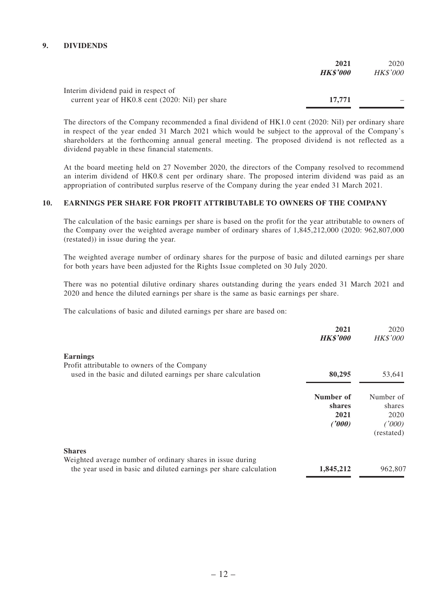### **9. DIVIDENDS**

|                                                  | 2021            | 2020            |
|--------------------------------------------------|-----------------|-----------------|
|                                                  | <b>HK\$'000</b> | <b>HK\$'000</b> |
| Interim dividend paid in respect of              |                 |                 |
| current year of HK0.8 cent (2020: Nil) per share | 17.771          |                 |

The directors of the Company recommended a final dividend of HK1.0 cent (2020: Nil) per ordinary share in respect of the year ended 31 March 2021 which would be subject to the approval of the Company's shareholders at the forthcoming annual general meeting. The proposed dividend is not reflected as a dividend payable in these financial statements.

At the board meeting held on 27 November 2020, the directors of the Company resolved to recommend an interim dividend of HK0.8 cent per ordinary share. The proposed interim dividend was paid as an appropriation of contributed surplus reserve of the Company during the year ended 31 March 2021.

#### **10. EARNINGS PER SHARE FOR PROFIT ATTRIBUTABLE TO OWNERS OF THE COMPANY**

The calculation of the basic earnings per share is based on the profit for the year attributable to owners of the Company over the weighted average number of ordinary shares of 1,845,212,000 (2020: 962,807,000 (restated)) in issue during the year.

The weighted average number of ordinary shares for the purpose of basic and diluted earnings per share for both years have been adjusted for the Rights Issue completed on 30 July 2020.

There was no potential dilutive ordinary shares outstanding during the years ended 31 March 2021 and 2020 and hence the diluted earnings per share is the same as basic earnings per share.

The calculations of basic and diluted earnings per share are based on:

|                                                                                                                                                  | 2021<br><b>HK\$'000</b>               | 2020<br><b>HK\$'000</b>                             |
|--------------------------------------------------------------------------------------------------------------------------------------------------|---------------------------------------|-----------------------------------------------------|
| <b>Earnings</b><br>Profit attributable to owners of the Company                                                                                  |                                       |                                                     |
| used in the basic and diluted earnings per share calculation                                                                                     | 80,295                                | 53,641                                              |
|                                                                                                                                                  | Number of<br>shares<br>2021<br>(1000) | Number of<br>shares<br>2020<br>(1000)<br>(restated) |
| <b>Shares</b><br>Weighted average number of ordinary shares in issue during<br>the year used in basic and diluted earnings per share calculation | 1,845,212                             | 962,807                                             |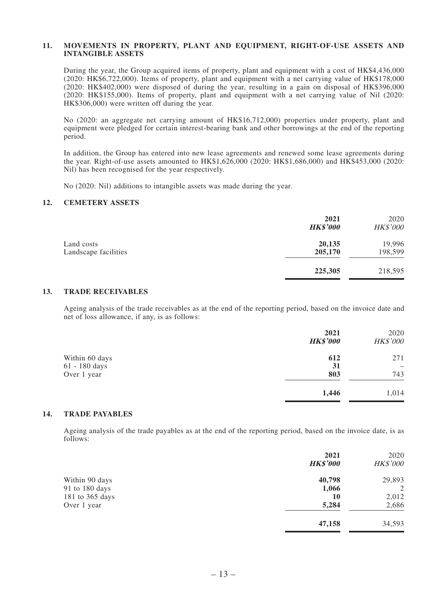#### **11. MOVEMENTS IN PROPERTY, PLANT AND EQUIPMENT, RIGHT-OF-USE ASSETS AND INTANGIBLE ASSETS**

During the year, the Group acquired items of property, plant and equipment with a cost of HK\$4,436,000 (2020: HK\$6,722,000). Items of property, plant and equipment with a net carrying value of HK\$178,000 (2020: HK\$402,000) were disposed of during the year, resulting in a gain on disposal of HK\$396,000 (2020: HK\$155,000). Items of property, plant and equipment with a net carrying value of Nil (2020: HK\$306,000) were written off during the year.

No (2020: an aggregate net carrying amount of HK\$16,712,000) properties under property, plant and equipment were pledged for certain interest-bearing bank and other borrowings at the end of the reporting period.

In addition, the Group has entered into new lease agreements and renewed some lease agreements during the year. Right-of-use assets amounted to HK\$1,626,000 (2020: HK\$1,686,000) and HK\$453,000 (2020: Nil) has been recognised for the year respectively.

No (2020: Nil) additions to intangible assets was made during the year.

#### **12. CEMETERY ASSETS**

|                                    | 2021<br><b>HK\$'000</b> | 2020<br>HK\$'000  |
|------------------------------------|-------------------------|-------------------|
| Land costs<br>Landscape facilities | 20,135<br>205,170       | 19,996<br>198,599 |
|                                    | 225,305                 | 218,595           |
|                                    |                         |                   |

#### **13. TRADE RECEIVABLES**

Ageing analysis of the trade receivables as at the end of the reporting period, based on the invoice date and net of loss allowance, if any, is as follows:

|                | 2021<br><b>HK\$'000</b> | 2020<br>HK\$'000 |
|----------------|-------------------------|------------------|
| Within 60 days | 612                     | 271              |
| 61 - 180 days  | 31                      |                  |
| Over 1 year    | 803                     | 743              |
|                | 1,446                   | 1,014            |

#### **14. TRADE PAYABLES**

Ageing analysis of the trade payables as at the end of the reporting period, based on the invoice date, is as follows:

|                 | 2021<br><b>HK\$'000</b> | 2020<br><b>HK\$'000</b> |
|-----------------|-------------------------|-------------------------|
| Within 90 days  | 40,798                  | 29,893                  |
| 91 to 180 days  | 1,066                   | 2                       |
| 181 to 365 days | 10                      | 2,012                   |
| Over 1 year     | 5,284                   | 2,686                   |
|                 | 47,158                  | 34,593                  |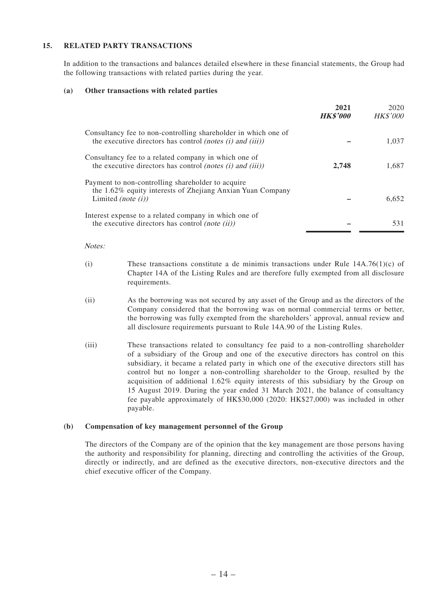#### **15. RELATED PARTY TRANSACTIONS**

In addition to the transactions and balances detailed elsewhere in these financial statements, the Group had the following transactions with related parties during the year.

#### **(a) Other transactions with related parties**

|                                                                                                                                                              | 2021<br><b>HK\$'000</b> | 2020<br><b>HK\$'000</b> |
|--------------------------------------------------------------------------------------------------------------------------------------------------------------|-------------------------|-------------------------|
| Consultancy fee to non-controlling shareholder in which one of<br>the executive directors has control <i>(notes <math>(i)</math> and <math>(iii)</math>)</i> |                         | 1.037                   |
| Consultancy fee to a related company in which one of<br>the executive directors has control <i>(notes (i)</i> and <i>(iii))</i>                              | 2,748                   | 1.687                   |
| Payment to non-controlling shareholder to acquire<br>the 1.62% equity interests of Zhejiang Anxian Yuan Company<br>Limited (note $(i)$ )                     |                         | 6.652                   |
| Interest expense to a related company in which one of<br>the executive directors has control <i>(note (ii))</i>                                              |                         | 531                     |

#### Notes:

- (i) These transactions constitute a de minimis transactions under Rule  $14A.76(1)(c)$  of Chapter 14A of the Listing Rules and are therefore fully exempted from all disclosure requirements.
- (ii) As the borrowing was not secured by any asset of the Group and as the directors of the Company considered that the borrowing was on normal commercial terms or better, the borrowing was fully exempted from the shareholders' approval, annual review and all disclosure requirements pursuant to Rule 14A.90 of the Listing Rules.
- (iii) These transactions related to consultancy fee paid to a non-controlling shareholder of a subsidiary of the Group and one of the executive directors has control on this subsidiary, it became a related party in which one of the executive directors still has control but no longer a non-controlling shareholder to the Group, resulted by the acquisition of additional 1.62% equity interests of this subsidiary by the Group on 15 August 2019. During the year ended 31 March 2021, the balance of consultancy fee payable approximately of HK\$30,000 (2020: HK\$27,000) was included in other payable.

#### **(b) Compensation of key management personnel of the Group**

The directors of the Company are of the opinion that the key management are those persons having the authority and responsibility for planning, directing and controlling the activities of the Group, directly or indirectly, and are defined as the executive directors, non-executive directors and the chief executive officer of the Company.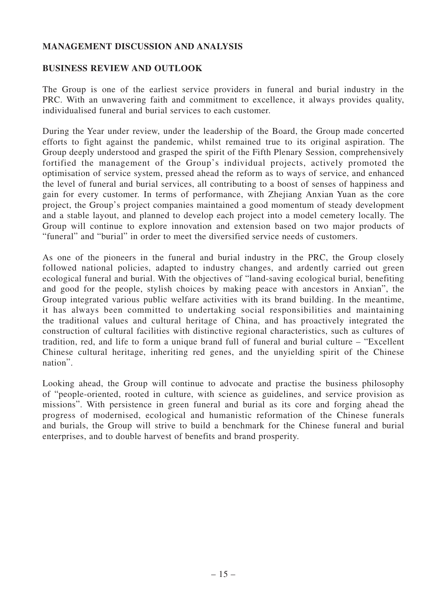### **MANAGEMENT DISCUSSION AND ANALYSIS**

### **BUSINESS REVIEW AND OUTLOOK**

The Group is one of the earliest service providers in funeral and burial industry in the PRC. With an unwavering faith and commitment to excellence, it always provides quality, individualised funeral and burial services to each customer.

During the Year under review, under the leadership of the Board, the Group made concerted efforts to fight against the pandemic, whilst remained true to its original aspiration. The Group deeply understood and grasped the spirit of the Fifth Plenary Session, comprehensively fortified the management of the Group's individual projects, actively promoted the optimisation of service system, pressed ahead the reform as to ways of service, and enhanced the level of funeral and burial services, all contributing to a boost of senses of happiness and gain for every customer. In terms of performance, with Zhejiang Anxian Yuan as the core project, the Group's project companies maintained a good momentum of steady development and a stable layout, and planned to develop each project into a model cemetery locally. The Group will continue to explore innovation and extension based on two major products of "funeral" and "burial" in order to meet the diversified service needs of customers.

As one of the pioneers in the funeral and burial industry in the PRC, the Group closely followed national policies, adapted to industry changes, and ardently carried out green ecological funeral and burial. With the objectives of "land-saving ecological burial, benefiting and good for the people, stylish choices by making peace with ancestors in Anxian", the Group integrated various public welfare activities with its brand building. In the meantime, it has always been committed to undertaking social responsibilities and maintaining the traditional values and cultural heritage of China, and has proactively integrated the construction of cultural facilities with distinctive regional characteristics, such as cultures of tradition, red, and life to form a unique brand full of funeral and burial culture – "Excellent Chinese cultural heritage, inheriting red genes, and the unyielding spirit of the Chinese nation".

Looking ahead, the Group will continue to advocate and practise the business philosophy of "people-oriented, rooted in culture, with science as guidelines, and service provision as missions". With persistence in green funeral and burial as its core and forging ahead the progress of modernised, ecological and humanistic reformation of the Chinese funerals and burials, the Group will strive to build a benchmark for the Chinese funeral and burial enterprises, and to double harvest of benefits and brand prosperity.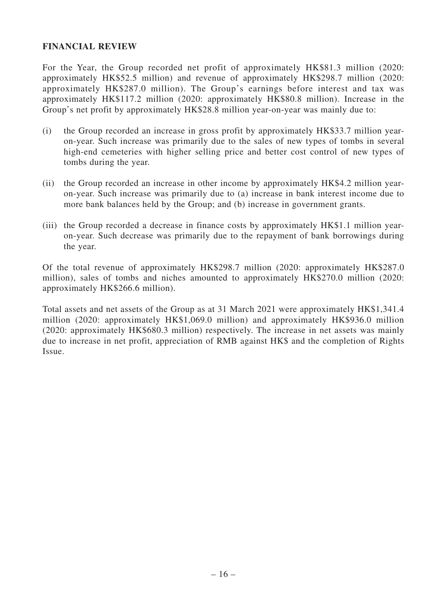### **FINANCIAL REVIEW**

For the Year, the Group recorded net profit of approximately HK\$81.3 million (2020: approximately HK\$52.5 million) and revenue of approximately HK\$298.7 million (2020: approximately HK\$287.0 million). The Group's earnings before interest and tax was approximately HK\$117.2 million (2020: approximately HK\$80.8 million). Increase in the Group's net profit by approximately HK\$28.8 million year-on-year was mainly due to:

- (i) the Group recorded an increase in gross profit by approximately HK\$33.7 million yearon-year. Such increase was primarily due to the sales of new types of tombs in several high-end cemeteries with higher selling price and better cost control of new types of tombs during the year.
- (ii) the Group recorded an increase in other income by approximately HK\$4.2 million yearon-year. Such increase was primarily due to (a) increase in bank interest income due to more bank balances held by the Group; and (b) increase in government grants.
- (iii) the Group recorded a decrease in finance costs by approximately HK\$1.1 million yearon-year. Such decrease was primarily due to the repayment of bank borrowings during the year.

Of the total revenue of approximately HK\$298.7 million (2020: approximately HK\$287.0 million), sales of tombs and niches amounted to approximately HK\$270.0 million (2020: approximately HK\$266.6 million).

Total assets and net assets of the Group as at 31 March 2021 were approximately HK\$1,341.4 million (2020: approximately HK\$1,069.0 million) and approximately HK\$936.0 million (2020: approximately HK\$680.3 million) respectively. The increase in net assets was mainly due to increase in net profit, appreciation of RMB against HK\$ and the completion of Rights Issue.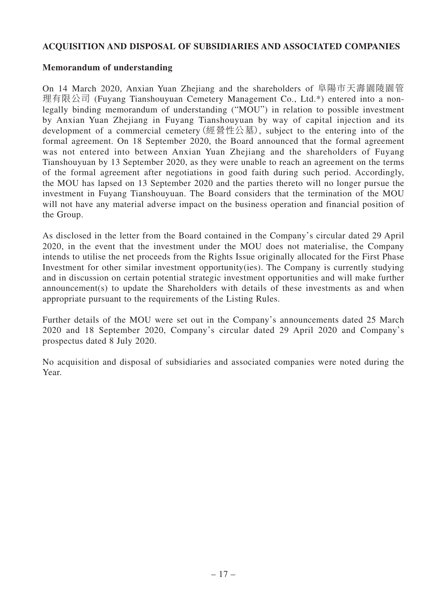### **ACQUISITION AND DISPOSAL OF SUBSIDIARIES AND ASSOCIATED COMPANIES**

### **Memorandum of understanding**

On 14 March 2020, Anxian Yuan Zhejiang and the shareholders of 阜陽市天壽園陵園管 理有限公司 (Fuyang Tianshouyuan Cemetery Management Co., Ltd.\*) entered into a nonlegally binding memorandum of understanding ("MOU") in relation to possible investment by Anxian Yuan Zhejiang in Fuyang Tianshouyuan by way of capital injection and its development of a commercial cemetery(經營性公墓), subject to the entering into of the formal agreement. On 18 September 2020, the Board announced that the formal agreement was not entered into between Anxian Yuan Zhejiang and the shareholders of Fuyang Tianshouyuan by 13 September 2020, as they were unable to reach an agreement on the terms of the formal agreement after negotiations in good faith during such period. Accordingly, the MOU has lapsed on 13 September 2020 and the parties thereto will no longer pursue the investment in Fuyang Tianshouyuan. The Board considers that the termination of the MOU will not have any material adverse impact on the business operation and financial position of the Group.

As disclosed in the letter from the Board contained in the Company's circular dated 29 April 2020, in the event that the investment under the MOU does not materialise, the Company intends to utilise the net proceeds from the Rights Issue originally allocated for the First Phase Investment for other similar investment opportunity(ies). The Company is currently studying and in discussion on certain potential strategic investment opportunities and will make further announcement(s) to update the Shareholders with details of these investments as and when appropriate pursuant to the requirements of the Listing Rules.

Further details of the MOU were set out in the Company's announcements dated 25 March 2020 and 18 September 2020, Company's circular dated 29 April 2020 and Company's prospectus dated 8 July 2020.

No acquisition and disposal of subsidiaries and associated companies were noted during the Year.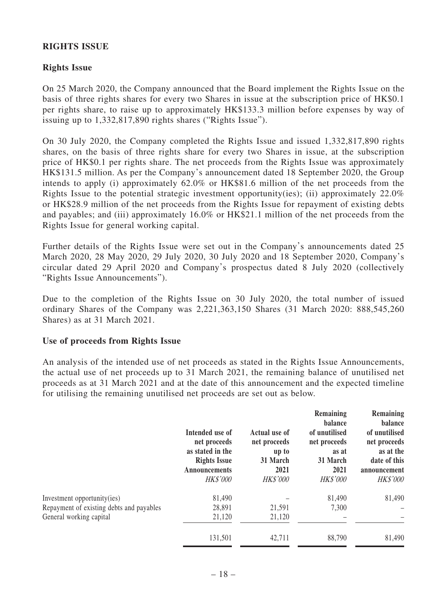### **RIGHTS ISSUE**

## **Rights Issue**

On 25 March 2020, the Company announced that the Board implement the Rights Issue on the basis of three rights shares for every two Shares in issue at the subscription price of HK\$0.1 per rights share, to raise up to approximately HK\$133.3 million before expenses by way of issuing up to 1,332,817,890 rights shares ("Rights Issue").

On 30 July 2020, the Company completed the Rights Issue and issued 1,332,817,890 rights shares, on the basis of three rights share for every two Shares in issue, at the subscription price of HK\$0.1 per rights share. The net proceeds from the Rights Issue was approximately HK\$131.5 million. As per the Company's announcement dated 18 September 2020, the Group intends to apply (i) approximately 62.0% or HK\$81.6 million of the net proceeds from the Rights Issue to the potential strategic investment opportunity(ies); (ii) approximately 22.0% or HK\$28.9 million of the net proceeds from the Rights Issue for repayment of existing debts and payables; and (iii) approximately 16.0% or HK\$21.1 million of the net proceeds from the Rights Issue for general working capital.

Further details of the Rights Issue were set out in the Company's announcements dated 25 March 2020, 28 May 2020, 29 July 2020, 30 July 2020 and 18 September 2020, Company's circular dated 29 April 2020 and Company's prospectus dated 8 July 2020 (collectively "Rights Issue Announcements").

Due to the completion of the Rights Issue on 30 July 2020, the total number of issued ordinary Shares of the Company was 2,221,363,150 Shares (31 March 2020: 888,545,260 Shares) as at 31 March 2021.

## **Use of proceeds from Rights Issue**

An analysis of the intended use of net proceeds as stated in the Rights Issue Announcements, the actual use of net proceeds up to 31 March 2021, the remaining balance of unutilised net proceeds as at 31 March 2021 and at the date of this announcement and the expected timeline for utilising the remaining unutilised net proceeds are set out as below.

|                                          | Intended use of<br>net proceeds<br>as stated in the<br><b>Rights Issue</b><br><b>Announcements</b><br><b>HK\$'000</b> | Actual use of<br>net proceeds<br>up to<br>31 March<br>2021<br><b>HK\$'000</b> | Remaining<br>balance<br>of unutilised<br>net proceeds<br>as at<br>31 March<br>2021<br><b>HK\$'000</b> | Remaining<br>balance<br>of unutilised<br>net proceeds<br>as at the<br>date of this<br>announcement<br><b>HK\$'000</b> |
|------------------------------------------|-----------------------------------------------------------------------------------------------------------------------|-------------------------------------------------------------------------------|-------------------------------------------------------------------------------------------------------|-----------------------------------------------------------------------------------------------------------------------|
| Investment opportunity(ies)              | 81,490                                                                                                                |                                                                               | 81,490                                                                                                | 81,490                                                                                                                |
| Repayment of existing debts and payables | 28,891                                                                                                                | 21,591                                                                        | 7,300                                                                                                 |                                                                                                                       |
| General working capital                  | 21,120                                                                                                                | 21,120                                                                        |                                                                                                       |                                                                                                                       |
|                                          | 131,501                                                                                                               | 42,711                                                                        | 88,790                                                                                                | 81,490                                                                                                                |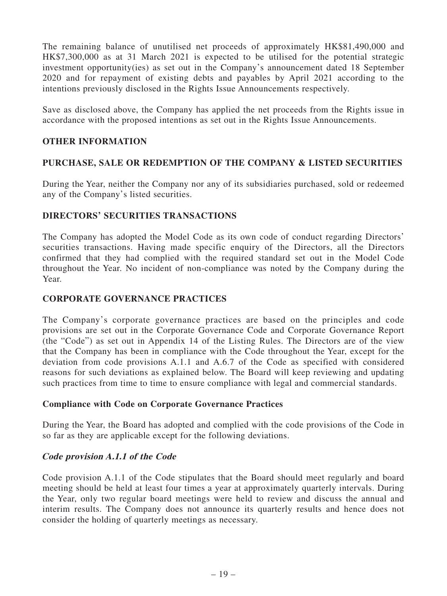The remaining balance of unutilised net proceeds of approximately HK\$81,490,000 and HK\$7,300,000 as at 31 March 2021 is expected to be utilised for the potential strategic investment opportunity(ies) as set out in the Company's announcement dated 18 September 2020 and for repayment of existing debts and payables by April 2021 according to the intentions previously disclosed in the Rights Issue Announcements respectively.

Save as disclosed above, the Company has applied the net proceeds from the Rights issue in accordance with the proposed intentions as set out in the Rights Issue Announcements.

## **OTHER INFORMATION**

# **PURCHASE, SALE OR REDEMPTION OF THE COMPANY & LISTED SECURITIES**

During the Year, neither the Company nor any of its subsidiaries purchased, sold or redeemed any of the Company's listed securities.

# **DIRECTORS' SECURITIES TRANSACTIONS**

The Company has adopted the Model Code as its own code of conduct regarding Directors' securities transactions. Having made specific enquiry of the Directors, all the Directors confirmed that they had complied with the required standard set out in the Model Code throughout the Year. No incident of non-compliance was noted by the Company during the Year.

## **CORPORATE GOVERNANCE PRACTICES**

The Company's corporate governance practices are based on the principles and code provisions are set out in the Corporate Governance Code and Corporate Governance Report (the "Code") as set out in Appendix 14 of the Listing Rules. The Directors are of the view that the Company has been in compliance with the Code throughout the Year, except for the deviation from code provisions A.1.1 and A.6.7 of the Code as specified with considered reasons for such deviations as explained below. The Board will keep reviewing and updating such practices from time to time to ensure compliance with legal and commercial standards.

## **Compliance with Code on Corporate Governance Practices**

During the Year, the Board has adopted and complied with the code provisions of the Code in so far as they are applicable except for the following deviations.

## **Code provision A.1.1 of the Code**

Code provision A.1.1 of the Code stipulates that the Board should meet regularly and board meeting should be held at least four times a year at approximately quarterly intervals. During the Year, only two regular board meetings were held to review and discuss the annual and interim results. The Company does not announce its quarterly results and hence does not consider the holding of quarterly meetings as necessary.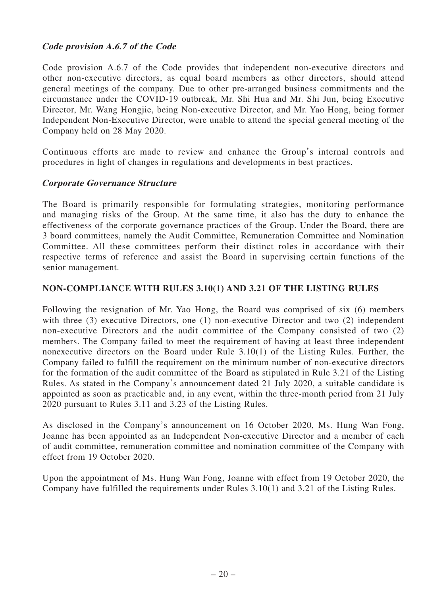## **Code provision A.6.7 of the Code**

Code provision A.6.7 of the Code provides that independent non-executive directors and other non-executive directors, as equal board members as other directors, should attend general meetings of the company. Due to other pre-arranged business commitments and the circumstance under the COVID-19 outbreak, Mr. Shi Hua and Mr. Shi Jun, being Executive Director, Mr. Wang Hongjie, being Non-executive Director, and Mr. Yao Hong, being former Independent Non-Executive Director, were unable to attend the special general meeting of the Company held on 28 May 2020.

Continuous efforts are made to review and enhance the Group's internal controls and procedures in light of changes in regulations and developments in best practices.

### **Corporate Governance Structure**

The Board is primarily responsible for formulating strategies, monitoring performance and managing risks of the Group. At the same time, it also has the duty to enhance the effectiveness of the corporate governance practices of the Group. Under the Board, there are 3 board committees, namely the Audit Committee, Remuneration Committee and Nomination Committee. All these committees perform their distinct roles in accordance with their respective terms of reference and assist the Board in supervising certain functions of the senior management.

### **NON-COMPLIANCE WITH RULES 3.10(1) AND 3.21 OF THE LISTING RULES**

Following the resignation of Mr. Yao Hong, the Board was comprised of six (6) members with three (3) executive Directors, one (1) non-executive Director and two (2) independent non-executive Directors and the audit committee of the Company consisted of two (2) members. The Company failed to meet the requirement of having at least three independent nonexecutive directors on the Board under Rule 3.10(1) of the Listing Rules. Further, the Company failed to fulfill the requirement on the minimum number of non-executive directors for the formation of the audit committee of the Board as stipulated in Rule 3.21 of the Listing Rules. As stated in the Company's announcement dated 21 July 2020, a suitable candidate is appointed as soon as practicable and, in any event, within the three-month period from 21 July 2020 pursuant to Rules 3.11 and 3.23 of the Listing Rules.

As disclosed in the Company's announcement on 16 October 2020, Ms. Hung Wan Fong, Joanne has been appointed as an Independent Non-executive Director and a member of each of audit committee, remuneration committee and nomination committee of the Company with effect from 19 October 2020.

Upon the appointment of Ms. Hung Wan Fong, Joanne with effect from 19 October 2020, the Company have fulfilled the requirements under Rules 3.10(1) and 3.21 of the Listing Rules.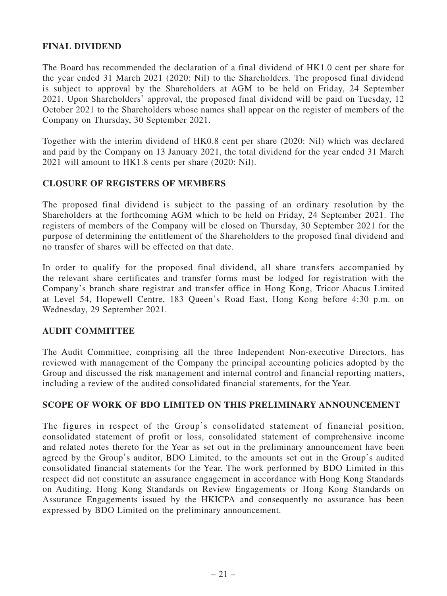### **FINAL DIVIDEND**

The Board has recommended the declaration of a final dividend of HK1.0 cent per share for the year ended 31 March 2021 (2020: Nil) to the Shareholders. The proposed final dividend is subject to approval by the Shareholders at AGM to be held on Friday, 24 September 2021. Upon Shareholders' approval, the proposed final dividend will be paid on Tuesday, 12 October 2021 to the Shareholders whose names shall appear on the register of members of the Company on Thursday, 30 September 2021.

Together with the interim dividend of HK0.8 cent per share (2020: Nil) which was declared and paid by the Company on 13 January 2021, the total dividend for the year ended 31 March 2021 will amount to HK1.8 cents per share (2020: Nil).

### **CLOSURE OF REGISTERS OF MEMBERS**

The proposed final dividend is subject to the passing of an ordinary resolution by the Shareholders at the forthcoming AGM which to be held on Friday, 24 September 2021. The registers of members of the Company will be closed on Thursday, 30 September 2021 for the purpose of determining the entitlement of the Shareholders to the proposed final dividend and no transfer of shares will be effected on that date.

In order to qualify for the proposed final dividend, all share transfers accompanied by the relevant share certificates and transfer forms must be lodged for registration with the Company's branch share registrar and transfer office in Hong Kong, Tricor Abacus Limited at Level 54, Hopewell Centre, 183 Queen's Road East, Hong Kong before 4:30 p.m. on Wednesday, 29 September 2021.

### **AUDIT COMMITTEE**

The Audit Committee, comprising all the three Independent Non-executive Directors, has reviewed with management of the Company the principal accounting policies adopted by the Group and discussed the risk management and internal control and financial reporting matters, including a review of the audited consolidated financial statements, for the Year.

## **SCOPE OF WORK OF BDO LIMITED ON THIS PRELIMINARY ANNOUNCEMENT**

The figures in respect of the Group's consolidated statement of financial position, consolidated statement of profit or loss, consolidated statement of comprehensive income and related notes thereto for the Year as set out in the preliminary announcement have been agreed by the Group's auditor, BDO Limited, to the amounts set out in the Group's audited consolidated financial statements for the Year. The work performed by BDO Limited in this respect did not constitute an assurance engagement in accordance with Hong Kong Standards on Auditing, Hong Kong Standards on Review Engagements or Hong Kong Standards on Assurance Engagements issued by the HKICPA and consequently no assurance has been expressed by BDO Limited on the preliminary announcement.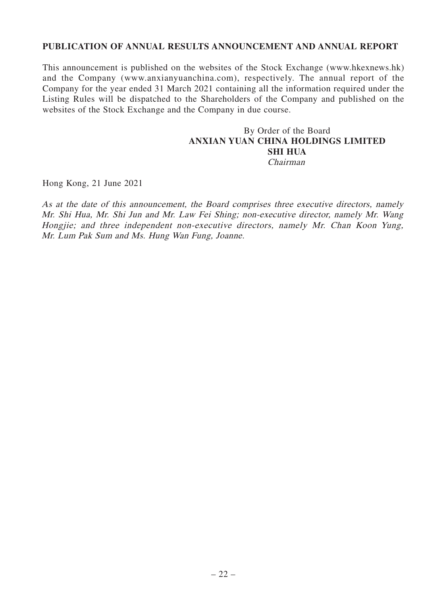### **PUBLICATION OF ANNUAL RESULTS ANNOUNCEMENT AND ANNUAL REPORT**

This announcement is published on the websites of the Stock Exchange (www.hkexnews.hk) and the Company (www.anxianyuanchina.com), respectively. The annual report of the Company for the year ended 31 March 2021 containing all the information required under the Listing Rules will be dispatched to the Shareholders of the Company and published on the websites of the Stock Exchange and the Company in due course.

## By Order of the Board **ANXIAN YUAN CHINA HOLDINGS LIMITED SHI HUA** Chairman

Hong Kong, 21 June 2021

As at the date of this announcement, the Board comprises three executive directors, namely Mr. Shi Hua, Mr. Shi Jun and Mr. Law Fei Shing; non-executive director, namely Mr. Wang Hongjie; and three independent non-executive directors, namely Mr. Chan Koon Yung, Mr. Lum Pak Sum and Ms. Hung Wan Fung, Joanne.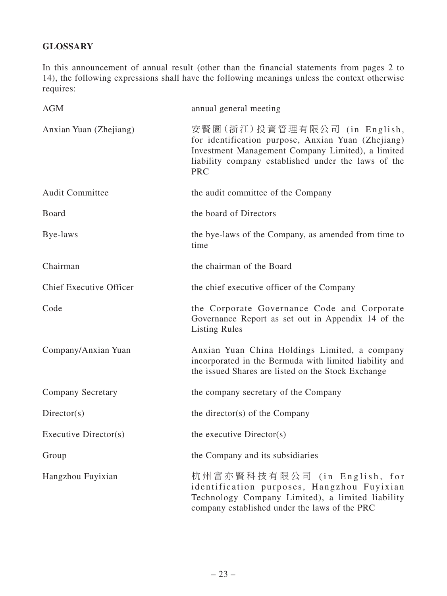# **GLOSSARY**

In this announcement of annual result (other than the financial statements from pages 2 to 14), the following expressions shall have the following meanings unless the context otherwise requires:

| <b>AGM</b>                     | annual general meeting                                                                                                                                                                                       |
|--------------------------------|--------------------------------------------------------------------------------------------------------------------------------------------------------------------------------------------------------------|
| Anxian Yuan (Zhejiang)         | 安賢園(浙江)投資管理有限公司 (in English,<br>for identification purpose, Anxian Yuan (Zhejiang)<br>Investment Management Company Limited), a limited<br>liability company established under the laws of the<br><b>PRC</b> |
| <b>Audit Committee</b>         | the audit committee of the Company                                                                                                                                                                           |
| Board                          | the board of Directors                                                                                                                                                                                       |
| Bye-laws                       | the bye-laws of the Company, as amended from time to<br>time                                                                                                                                                 |
| Chairman                       | the chairman of the Board                                                                                                                                                                                    |
| <b>Chief Executive Officer</b> | the chief executive officer of the Company                                                                                                                                                                   |
| Code                           | the Corporate Governance Code and Corporate<br>Governance Report as set out in Appendix 14 of the<br><b>Listing Rules</b>                                                                                    |
| Company/Anxian Yuan            | Anxian Yuan China Holdings Limited, a company<br>incorporated in the Bermuda with limited liability and<br>the issued Shares are listed on the Stock Exchange                                                |
| <b>Company Secretary</b>       | the company secretary of the Company                                                                                                                                                                         |
| Directory(s)                   | the director(s) of the Company                                                                                                                                                                               |
| Executive Director(s)          | the executive Director(s)                                                                                                                                                                                    |
| Group                          | the Company and its subsidiaries                                                                                                                                                                             |
| Hangzhou Fuyixian              | 杭州富亦賢科技有限公司 (in English, for<br>identification purposes, Hangzhou Fuyixian<br>Technology Company Limited), a limited liability<br>company established under the laws of the PRC                              |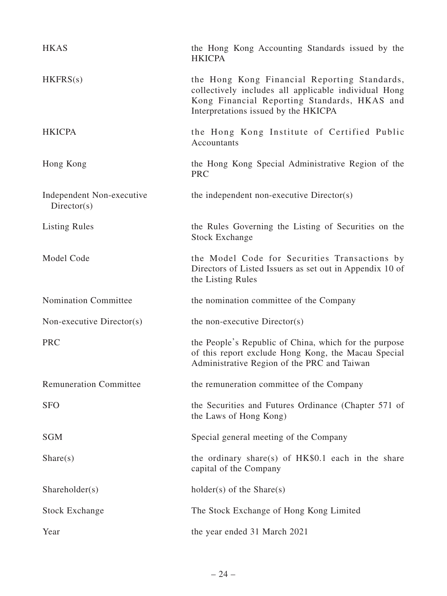| <b>HKAS</b>                               | the Hong Kong Accounting Standards issued by the<br><b>HKICPA</b>                                                                                                                            |
|-------------------------------------------|----------------------------------------------------------------------------------------------------------------------------------------------------------------------------------------------|
| HKFRS(s)                                  | the Hong Kong Financial Reporting Standards,<br>collectively includes all applicable individual Hong<br>Kong Financial Reporting Standards, HKAS and<br>Interpretations issued by the HKICPA |
| <b>HKICPA</b>                             | the Hong Kong Institute of Certified Public<br>Accountants                                                                                                                                   |
| Hong Kong                                 | the Hong Kong Special Administrative Region of the<br><b>PRC</b>                                                                                                                             |
| Independent Non-executive<br>Directory(s) | the independent non-executive Director(s)                                                                                                                                                    |
| <b>Listing Rules</b>                      | the Rules Governing the Listing of Securities on the<br><b>Stock Exchange</b>                                                                                                                |
| Model Code                                | the Model Code for Securities Transactions by<br>Directors of Listed Issuers as set out in Appendix 10 of<br>the Listing Rules                                                               |
|                                           |                                                                                                                                                                                              |
| <b>Nomination Committee</b>               | the nomination committee of the Company                                                                                                                                                      |
| Non-executive Director(s)                 | the non-executive Director(s)                                                                                                                                                                |
| <b>PRC</b>                                | the People's Republic of China, which for the purpose<br>of this report exclude Hong Kong, the Macau Special<br>Administrative Region of the PRC and Taiwan                                  |
| <b>Remuneration Committee</b>             | the remuneration committee of the Company                                                                                                                                                    |
| <b>SFO</b>                                | the Securities and Futures Ordinance (Chapter 571 of<br>the Laws of Hong Kong)                                                                                                               |
| <b>SGM</b>                                | Special general meeting of the Company                                                                                                                                                       |
| Share(s)                                  | the ordinary share(s) of HK\$0.1 each in the share<br>capital of the Company                                                                                                                 |
| Shareholder(s)                            | $holder(s)$ of the Share $(s)$                                                                                                                                                               |
| <b>Stock Exchange</b>                     | The Stock Exchange of Hong Kong Limited                                                                                                                                                      |